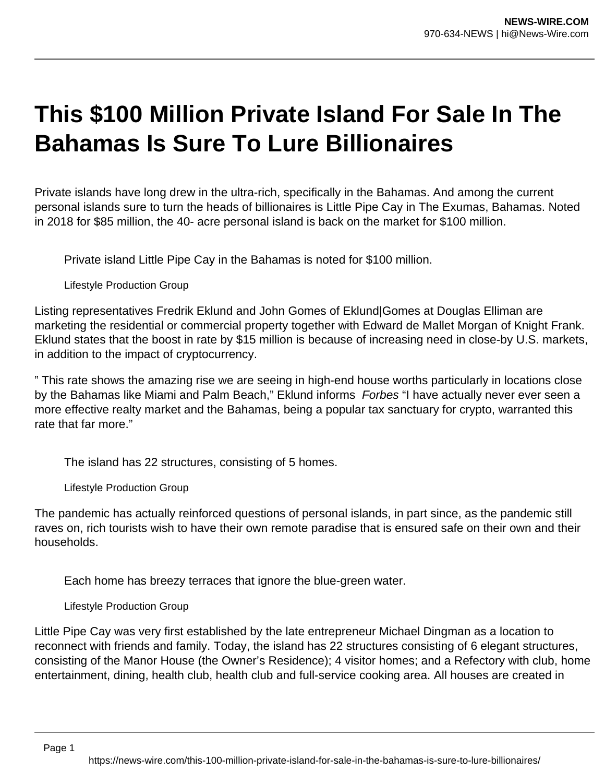## **This \$100 Million Private Island For Sale In The Bahamas Is Sure To Lure Billionaires**

Private islands have long drew in the ultra-rich, specifically in the Bahamas. And among the current personal islands sure to turn the heads of billionaires is Little Pipe Cay in The Exumas, Bahamas. Noted in 2018 for \$85 million, the 40- acre personal island is back on the market for \$100 million.

Private island Little Pipe Cay in the Bahamas is noted for \$100 million.

Lifestyle Production Group

Listing representatives Fredrik Eklund and John Gomes of Eklund|Gomes at Douglas Elliman are marketing the residential or commercial property together with Edward de Mallet Morgan of Knight Frank. Eklund states that the boost in rate by \$15 million is because of increasing need in close-by U.S. markets, in addition to the impact of cryptocurrency.

" This rate shows the amazing rise we are seeing in high-end house worths particularly in locations close by the Bahamas like Miami and Palm Beach," Eklund informs Forbes "I have actually never ever seen a more effective realty market and the Bahamas, being a popular tax sanctuary for crypto, warranted this rate that far more."

The island has 22 structures, consisting of 5 homes.

Lifestyle Production Group

The pandemic has actually reinforced questions of personal islands, in part since, as the pandemic still raves on, rich tourists wish to have their own remote paradise that is ensured safe on their own and their households.

Each home has breezy terraces that ignore the blue-green water.

Lifestyle Production Group

Little Pipe Cay was very first established by the late entrepreneur Michael Dingman as a location to reconnect with friends and family. Today, the island has 22 structures consisting of 6 elegant structures, consisting of the Manor House (the Owner's Residence); 4 visitor homes; and a Refectory with club, home entertainment, dining, health club, health club and full-service cooking area. All houses are created in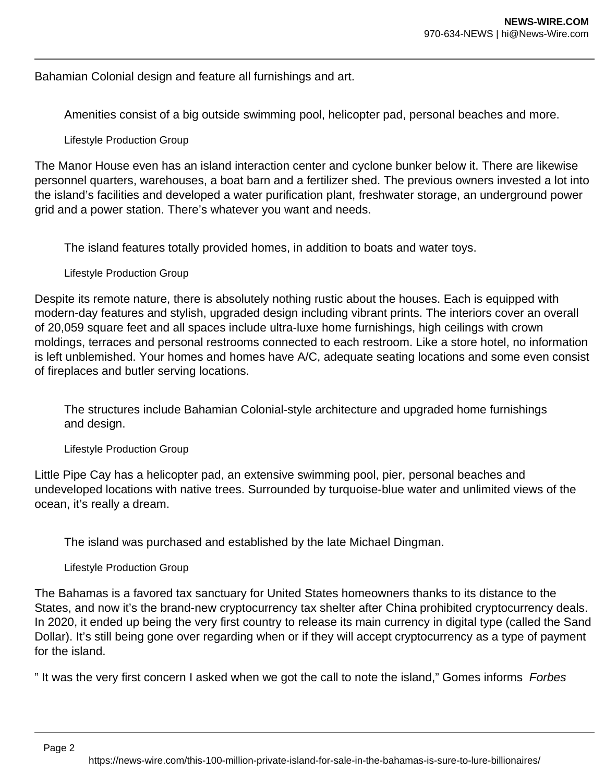Bahamian Colonial design and feature all furnishings and art.

Amenities consist of a big outside swimming pool, helicopter pad, personal beaches and more.

Lifestyle Production Group

The Manor House even has an island interaction center and cyclone bunker below it. There are likewise personnel quarters, warehouses, a boat barn and a fertilizer shed. The previous owners invested a lot into the island's facilities and developed a water purification plant, freshwater storage, an underground power grid and a power station. There's whatever you want and needs.

The island features totally provided homes, in addition to boats and water toys.

Lifestyle Production Group

Despite its remote nature, there is absolutely nothing rustic about the houses. Each is equipped with modern-day features and stylish, upgraded design including vibrant prints. The interiors cover an overall of 20,059 square feet and all spaces include ultra-luxe home furnishings, high ceilings with crown moldings, terraces and personal restrooms connected to each restroom. Like a store hotel, no information is left unblemished. Your homes and homes have A/C, adequate seating locations and some even consist of fireplaces and butler serving locations.

The structures include Bahamian Colonial-style architecture and upgraded home furnishings and design.

Lifestyle Production Group

Little Pipe Cay has a helicopter pad, an extensive swimming pool, pier, personal beaches and undeveloped locations with native trees. Surrounded by turquoise-blue water and unlimited views of the ocean, it's really a dream.

The island was purchased and established by the late Michael Dingman.

Lifestyle Production Group

The Bahamas is a favored tax sanctuary for United States homeowners thanks to its distance to the States, and now it's the brand-new cryptocurrency tax shelter after China prohibited cryptocurrency deals. In 2020, it ended up being the very first country to release its main currency in digital type (called the Sand Dollar). It's still being gone over regarding when or if they will accept cryptocurrency as a type of payment for the island.

" It was the very first concern I asked when we got the call to note the island," Gomes informs Forbes

Page 2